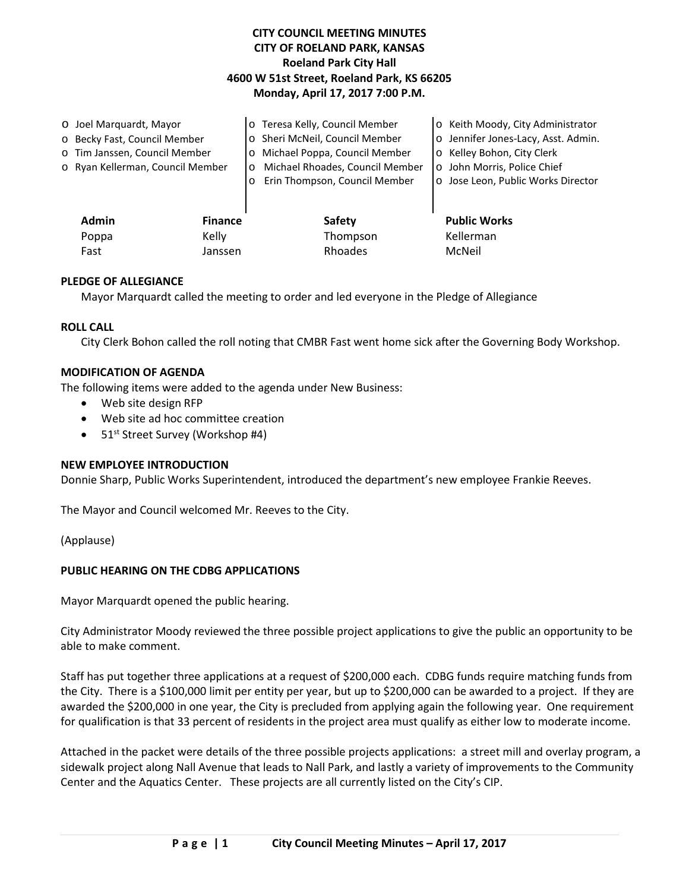# **CITY COUNCIL MEETING MINUTES CITY OF ROELAND PARK, KANSAS Roeland Park City Hall 4600 W 51st Street, Roeland Park, KS 66205 Monday, April 17, 2017 7:00 P.M.**

| O Joel Marquardt, Mayor |                                  |                | o Teresa Kelly, Council Member             | o Keith Moody, City Administrator   |
|-------------------------|----------------------------------|----------------|--------------------------------------------|-------------------------------------|
|                         | o Becky Fast, Council Member     |                | o Sheri McNeil, Council Member             | o Jennifer Jones-Lacy, Asst. Admin. |
|                         | o Tim Janssen, Council Member    |                | o Michael Poppa, Council Member            | o Kelley Bohon, City Clerk          |
|                         | o Ryan Kellerman, Council Member |                | Michael Rhoades, Council Member<br>$\circ$ | o John Morris, Police Chief         |
|                         |                                  |                | Erin Thompson, Council Member<br>$\circ$   | o Jose Leon, Public Works Director  |
|                         |                                  |                |                                            |                                     |
|                         | Admin                            | <b>Finance</b> | <b>Safety</b>                              | <b>Public Works</b>                 |
|                         | Poppa                            | Kelly          | Thompson                                   | Kellerman                           |
|                         | Fast                             | Janssen        | Rhoades                                    | McNeil                              |

## **PLEDGE OF ALLEGIANCE**

Mayor Marquardt called the meeting to order and led everyone in the Pledge of Allegiance

#### **ROLL CALL**

City Clerk Bohon called the roll noting that CMBR Fast went home sick after the Governing Body Workshop.

#### **MODIFICATION OF AGENDA**

The following items were added to the agenda under New Business:

- Web site design RFP
- Web site ad hoc committee creation
- $51<sup>st</sup>$  Street Survey (Workshop #4)

#### **NEW EMPLOYEE INTRODUCTION**

Donnie Sharp, Public Works Superintendent, introduced the department's new employee Frankie Reeves.

The Mayor and Council welcomed Mr. Reeves to the City.

(Applause)

## **PUBLIC HEARING ON THE CDBG APPLICATIONS**

Mayor Marquardt opened the public hearing.

City Administrator Moody reviewed the three possible project applications to give the public an opportunity to be able to make comment.

Staff has put together three applications at a request of \$200,000 each. CDBG funds require matching funds from the City. There is a \$100,000 limit per entity per year, but up to \$200,000 can be awarded to a project. If they are awarded the \$200,000 in one year, the City is precluded from applying again the following year. One requirement for qualification is that 33 percent of residents in the project area must qualify as either low to moderate income.

Attached in the packet were details of the three possible projects applications: a street mill and overlay program, a sidewalk project along Nall Avenue that leads to Nall Park, and lastly a variety of improvements to the Community Center and the Aquatics Center. These projects are all currently listed on the City's CIP.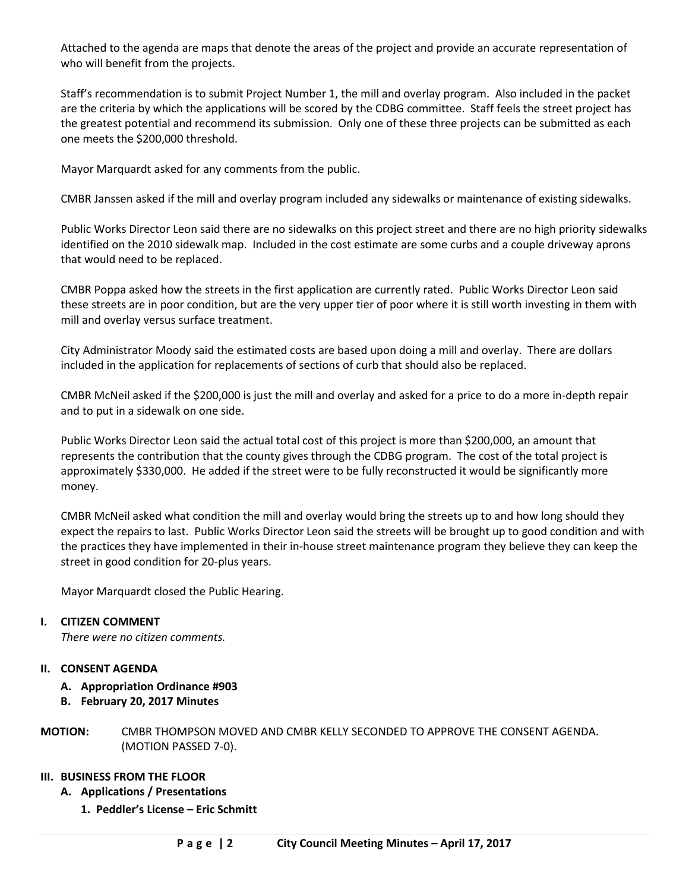Attached to the agenda are maps that denote the areas of the project and provide an accurate representation of who will benefit from the projects.

Staff's recommendation is to submit Project Number 1, the mill and overlay program. Also included in the packet are the criteria by which the applications will be scored by the CDBG committee. Staff feels the street project has the greatest potential and recommend its submission. Only one of these three projects can be submitted as each one meets the \$200,000 threshold.

Mayor Marquardt asked for any comments from the public.

CMBR Janssen asked if the mill and overlay program included any sidewalks or maintenance of existing sidewalks.

Public Works Director Leon said there are no sidewalks on this project street and there are no high priority sidewalks identified on the 2010 sidewalk map. Included in the cost estimate are some curbs and a couple driveway aprons that would need to be replaced.

CMBR Poppa asked how the streets in the first application are currently rated. Public Works Director Leon said these streets are in poor condition, but are the very upper tier of poor where it is still worth investing in them with mill and overlay versus surface treatment.

City Administrator Moody said the estimated costs are based upon doing a mill and overlay. There are dollars included in the application for replacements of sections of curb that should also be replaced.

CMBR McNeil asked if the \$200,000 is just the mill and overlay and asked for a price to do a more in-depth repair and to put in a sidewalk on one side.

Public Works Director Leon said the actual total cost of this project is more than \$200,000, an amount that represents the contribution that the county gives through the CDBG program. The cost of the total project is approximately \$330,000. He added if the street were to be fully reconstructed it would be significantly more money.

CMBR McNeil asked what condition the mill and overlay would bring the streets up to and how long should they expect the repairs to last. Public Works Director Leon said the streets will be brought up to good condition and with the practices they have implemented in their in-house street maintenance program they believe they can keep the street in good condition for 20-plus years.

Mayor Marquardt closed the Public Hearing.

## **I. CITIZEN COMMENT**

*There were no citizen comments.* 

## **II. CONSENT AGENDA**

- **A. Appropriation Ordinance #903**
- **B. February 20, 2017 Minutes**
- **MOTION:** CMBR THOMPSON MOVED AND CMBR KELLY SECONDED TO APPROVE THE CONSENT AGENDA. (MOTION PASSED 7-0).

## **III. BUSINESS FROM THE FLOOR**

- **A. Applications / Presentations**
	- **1. Peddler's License – Eric Schmitt**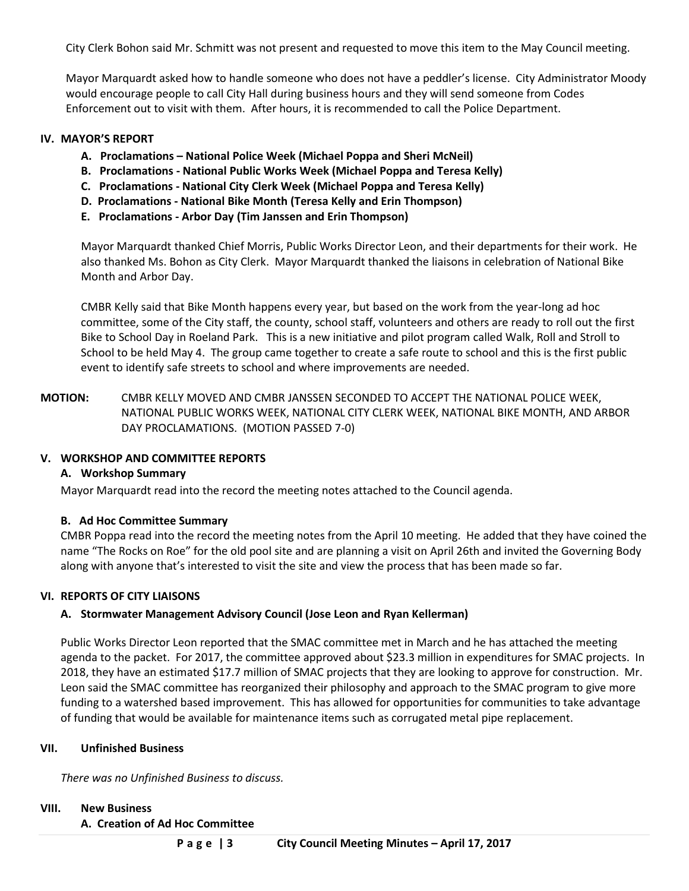City Clerk Bohon said Mr. Schmitt was not present and requested to move this item to the May Council meeting.

Mayor Marquardt asked how to handle someone who does not have a peddler's license. City Administrator Moody would encourage people to call City Hall during business hours and they will send someone from Codes Enforcement out to visit with them. After hours, it is recommended to call the Police Department.

#### **IV. MAYOR'S REPORT**

- **A. Proclamations – National Police Week (Michael Poppa and Sheri McNeil)**
- **B. Proclamations - National Public Works Week (Michael Poppa and Teresa Kelly)**
- **C. Proclamations - National City Clerk Week (Michael Poppa and Teresa Kelly)**
- **D. Proclamations - National Bike Month (Teresa Kelly and Erin Thompson)**
- **E. Proclamations - Arbor Day (Tim Janssen and Erin Thompson)**

Mayor Marquardt thanked Chief Morris, Public Works Director Leon, and their departments for their work. He also thanked Ms. Bohon as City Clerk. Mayor Marquardt thanked the liaisons in celebration of National Bike Month and Arbor Day.

CMBR Kelly said that Bike Month happens every year, but based on the work from the year-long ad hoc committee, some of the City staff, the county, school staff, volunteers and others are ready to roll out the first Bike to School Day in Roeland Park. This is a new initiative and pilot program called Walk, Roll and Stroll to School to be held May 4. The group came together to create a safe route to school and this is the first public event to identify safe streets to school and where improvements are needed.

**MOTION:** CMBR KELLY MOVED AND CMBR JANSSEN SECONDED TO ACCEPT THE NATIONAL POLICE WEEK, NATIONAL PUBLIC WORKS WEEK, NATIONAL CITY CLERK WEEK, NATIONAL BIKE MONTH, AND ARBOR DAY PROCLAMATIONS. (MOTION PASSED 7-0)

## **V. WORKSHOP AND COMMITTEE REPORTS**

## **A. Workshop Summary**

Mayor Marquardt read into the record the meeting notes attached to the Council agenda.

## **B. Ad Hoc Committee Summary**

CMBR Poppa read into the record the meeting notes from the April 10 meeting. He added that they have coined the name "The Rocks on Roe" for the old pool site and are planning a visit on April 26th and invited the Governing Body along with anyone that's interested to visit the site and view the process that has been made so far.

## **VI. REPORTS OF CITY LIAISONS**

## **A. Stormwater Management Advisory Council (Jose Leon and Ryan Kellerman)**

Public Works Director Leon reported that the SMAC committee met in March and he has attached the meeting agenda to the packet. For 2017, the committee approved about \$23.3 million in expenditures for SMAC projects. In 2018, they have an estimated \$17.7 million of SMAC projects that they are looking to approve for construction. Mr. Leon said the SMAC committee has reorganized their philosophy and approach to the SMAC program to give more funding to a watershed based improvement. This has allowed for opportunities for communities to take advantage of funding that would be available for maintenance items such as corrugated metal pipe replacement.

#### **VII. Unfinished Business**

*There was no Unfinished Business to discuss.*

### **VIII. New Business**

#### **A. Creation of Ad Hoc Committee**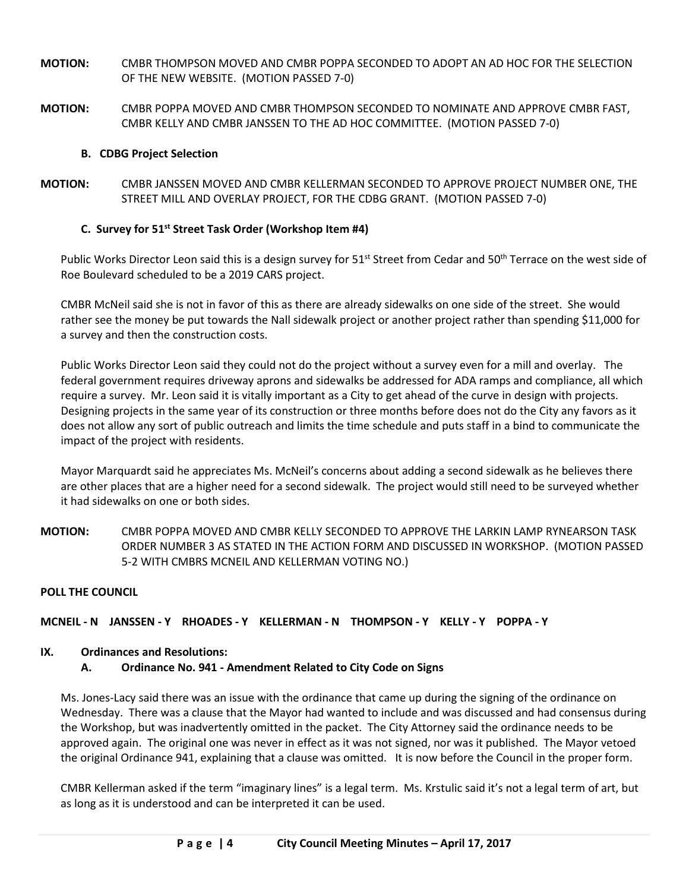- **MOTION:** CMBR THOMPSON MOVED AND CMBR POPPA SECONDED TO ADOPT AN AD HOC FOR THE SELECTION OF THE NEW WEBSITE. (MOTION PASSED 7-0)
- **MOTION:** CMBR POPPA MOVED AND CMBR THOMPSON SECONDED TO NOMINATE AND APPROVE CMBR FAST, CMBR KELLY AND CMBR JANSSEN TO THE AD HOC COMMITTEE. (MOTION PASSED 7-0)

# **B. CDBG Project Selection**

**MOTION:** CMBR JANSSEN MOVED AND CMBR KELLERMAN SECONDED TO APPROVE PROJECT NUMBER ONE, THE STREET MILL AND OVERLAY PROJECT, FOR THE CDBG GRANT. (MOTION PASSED 7-0)

## **C. Survey for 51st Street Task Order (Workshop Item #4)**

Public Works Director Leon said this is a design survey for 51<sup>st</sup> Street from Cedar and 50<sup>th</sup> Terrace on the west side of Roe Boulevard scheduled to be a 2019 CARS project.

CMBR McNeil said she is not in favor of this as there are already sidewalks on one side of the street. She would rather see the money be put towards the Nall sidewalk project or another project rather than spending \$11,000 for a survey and then the construction costs.

Public Works Director Leon said they could not do the project without a survey even for a mill and overlay. The federal government requires driveway aprons and sidewalks be addressed for ADA ramps and compliance, all which require a survey. Mr. Leon said it is vitally important as a City to get ahead of the curve in design with projects. Designing projects in the same year of its construction or three months before does not do the City any favors as it does not allow any sort of public outreach and limits the time schedule and puts staff in a bind to communicate the impact of the project with residents.

Mayor Marquardt said he appreciates Ms. McNeil's concerns about adding a second sidewalk as he believes there are other places that are a higher need for a second sidewalk. The project would still need to be surveyed whether it had sidewalks on one or both sides.

**MOTION:** CMBR POPPA MOVED AND CMBR KELLY SECONDED TO APPROVE THE LARKIN LAMP RYNEARSON TASK ORDER NUMBER 3 AS STATED IN THE ACTION FORM AND DISCUSSED IN WORKSHOP. (MOTION PASSED 5-2 WITH CMBRS MCNEIL AND KELLERMAN VOTING NO.)

## **POLL THE COUNCIL**

# **MCNEIL - N JANSSEN - Y RHOADES - Y KELLERMAN - N THOMPSON - Y KELLY - Y POPPA - Y**

## **IX. Ordinances and Resolutions:**

## **A. Ordinance No. 941 - Amendment Related to City Code on Signs**

Ms. Jones-Lacy said there was an issue with the ordinance that came up during the signing of the ordinance on Wednesday. There was a clause that the Mayor had wanted to include and was discussed and had consensus during the Workshop, but was inadvertently omitted in the packet. The City Attorney said the ordinance needs to be approved again. The original one was never in effect as it was not signed, nor was it published. The Mayor vetoed the original Ordinance 941, explaining that a clause was omitted. It is now before the Council in the proper form.

CMBR Kellerman asked if the term "imaginary lines" is a legal term. Ms. Krstulic said it's not a legal term of art, but as long as it is understood and can be interpreted it can be used.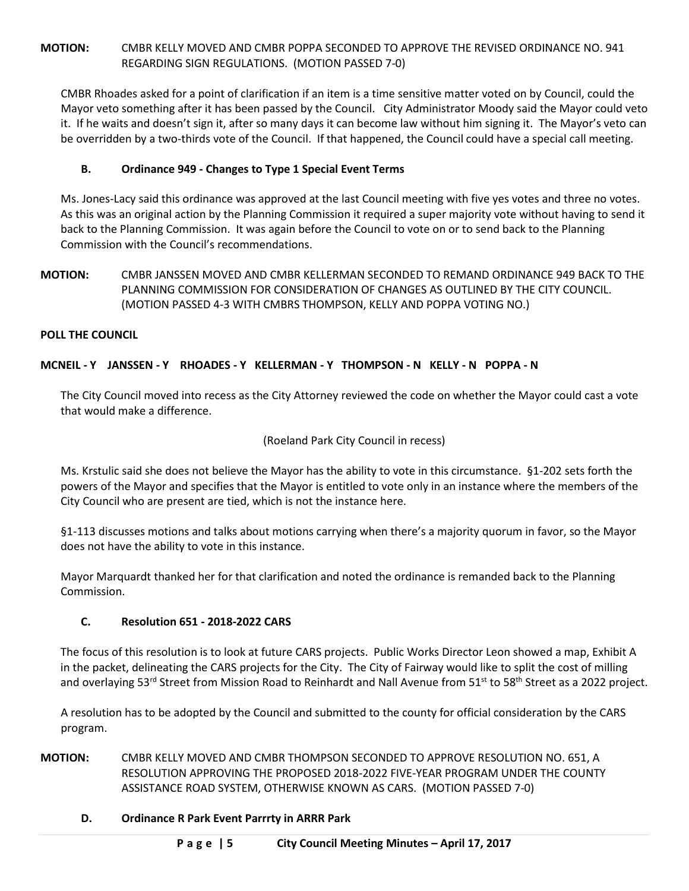# **MOTION:** CMBR KELLY MOVED AND CMBR POPPA SECONDED TO APPROVE THE REVISED ORDINANCE NO. 941 REGARDING SIGN REGULATIONS. (MOTION PASSED 7-0)

CMBR Rhoades asked for a point of clarification if an item is a time sensitive matter voted on by Council, could the Mayor veto something after it has been passed by the Council. City Administrator Moody said the Mayor could veto it. If he waits and doesn't sign it, after so many days it can become law without him signing it. The Mayor's veto can be overridden by a two-thirds vote of the Council. If that happened, the Council could have a special call meeting.

## **B. Ordinance 949 - Changes to Type 1 Special Event Terms**

Ms. Jones-Lacy said this ordinance was approved at the last Council meeting with five yes votes and three no votes. As this was an original action by the Planning Commission it required a super majority vote without having to send it back to the Planning Commission. It was again before the Council to vote on or to send back to the Planning Commission with the Council's recommendations.

**MOTION:** CMBR JANSSEN MOVED AND CMBR KELLERMAN SECONDED TO REMAND ORDINANCE 949 BACK TO THE PLANNING COMMISSION FOR CONSIDERATION OF CHANGES AS OUTLINED BY THE CITY COUNCIL. (MOTION PASSED 4-3 WITH CMBRS THOMPSON, KELLY AND POPPA VOTING NO.)

## **POLL THE COUNCIL**

# **MCNEIL - Y JANSSEN - Y RHOADES - Y KELLERMAN - Y THOMPSON - N KELLY - N POPPA - N**

The City Council moved into recess as the City Attorney reviewed the code on whether the Mayor could cast a vote that would make a difference.

(Roeland Park City Council in recess)

Ms. Krstulic said she does not believe the Mayor has the ability to vote in this circumstance. §1-202 sets forth the powers of the Mayor and specifies that the Mayor is entitled to vote only in an instance where the members of the City Council who are present are tied, which is not the instance here.

§1-113 discusses motions and talks about motions carrying when there's a majority quorum in favor, so the Mayor does not have the ability to vote in this instance.

Mayor Marquardt thanked her for that clarification and noted the ordinance is remanded back to the Planning Commission.

## **C. Resolution 651 - 2018-2022 CARS**

The focus of this resolution is to look at future CARS projects. Public Works Director Leon showed a map, Exhibit A in the packet, delineating the CARS projects for the City. The City of Fairway would like to split the cost of milling and overlaying 53<sup>rd</sup> Street from Mission Road to Reinhardt and Nall Avenue from 51<sup>st</sup> to 58<sup>th</sup> Street as a 2022 project.

A resolution has to be adopted by the Council and submitted to the county for official consideration by the CARS program.

**MOTION:** CMBR KELLY MOVED AND CMBR THOMPSON SECONDED TO APPROVE RESOLUTION NO. 651, A RESOLUTION APPROVING THE PROPOSED 2018-2022 FIVE-YEAR PROGRAM UNDER THE COUNTY ASSISTANCE ROAD SYSTEM, OTHERWISE KNOWN AS CARS. (MOTION PASSED 7-0)

## **D. Ordinance R Park Event Parrrty in ARRR Park**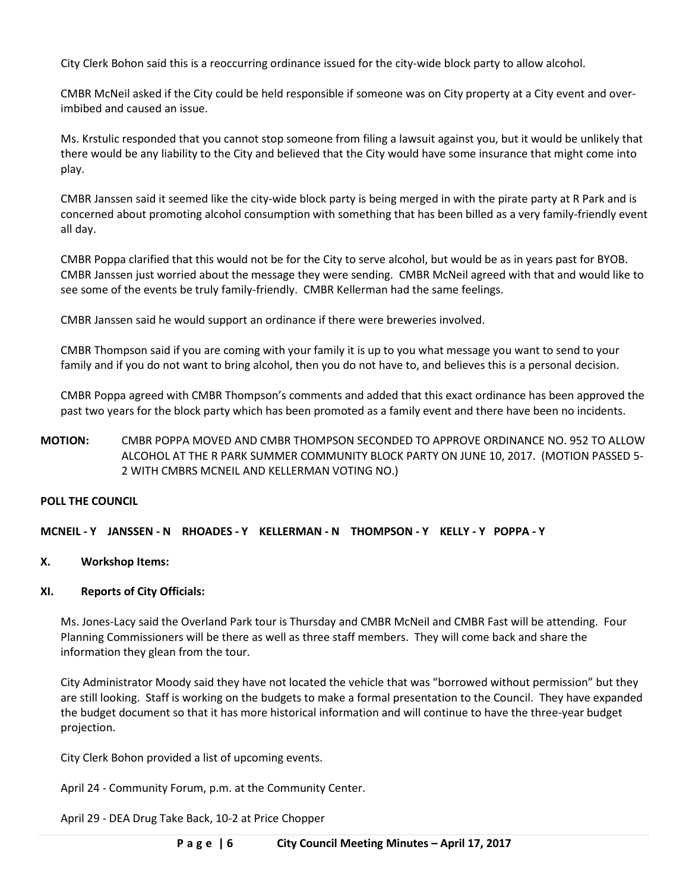City Clerk Bohon said this is a reoccurring ordinance issued for the city-wide block party to allow alcohol.

CMBR McNeil asked if the City could be held responsible if someone was on City property at a City event and overimbibed and caused an issue.

Ms. Krstulic responded that you cannot stop someone from filing a lawsuit against you, but it would be unlikely that there would be any liability to the City and believed that the City would have some insurance that might come into play.

CMBR Janssen said it seemed like the city-wide block party is being merged in with the pirate party at R Park and is concerned about promoting alcohol consumption with something that has been billed as a very family-friendly event all day.

CMBR Poppa clarified that this would not be for the City to serve alcohol, but would be as in years past for BYOB. CMBR Janssen just worried about the message they were sending. CMBR McNeil agreed with that and would like to see some of the events be truly family-friendly. CMBR Kellerman had the same feelings.

CMBR Janssen said he would support an ordinance if there were breweries involved.

CMBR Thompson said if you are coming with your family it is up to you what message you want to send to your family and if you do not want to bring alcohol, then you do not have to, and believes this is a personal decision.

CMBR Poppa agreed with CMBR Thompson's comments and added that this exact ordinance has been approved the past two years for the block party which has been promoted as a family event and there have been no incidents.

**MOTION:** CMBR POPPA MOVED AND CMBR THOMPSON SECONDED TO APPROVE ORDINANCE NO. 952 TO ALLOW ALCOHOL AT THE R PARK SUMMER COMMUNITY BLOCK PARTY ON JUNE 10, 2017. (MOTION PASSED 5- 2 WITH CMBRS MCNEIL AND KELLERMAN VOTING NO.)

## **POLL THE COUNCIL**

## **MCNEIL - Y JANSSEN - N RHOADES - Y KELLERMAN - N THOMPSON - Y KELLY - Y POPPA - Y**

#### **X. Workshop Items:**

#### **XI. Reports of City Officials:**

Ms. Jones-Lacy said the Overland Park tour is Thursday and CMBR McNeil and CMBR Fast will be attending. Four Planning Commissioners will be there as well as three staff members. They will come back and share the information they glean from the tour.

City Administrator Moody said they have not located the vehicle that was "borrowed without permission" but they are still looking. Staff is working on the budgets to make a formal presentation to the Council. They have expanded the budget document so that it has more historical information and will continue to have the three-year budget projection.

City Clerk Bohon provided a list of upcoming events.

April 24 - Community Forum, p.m. at the Community Center.

April 29 - DEA Drug Take Back, 10-2 at Price Chopper